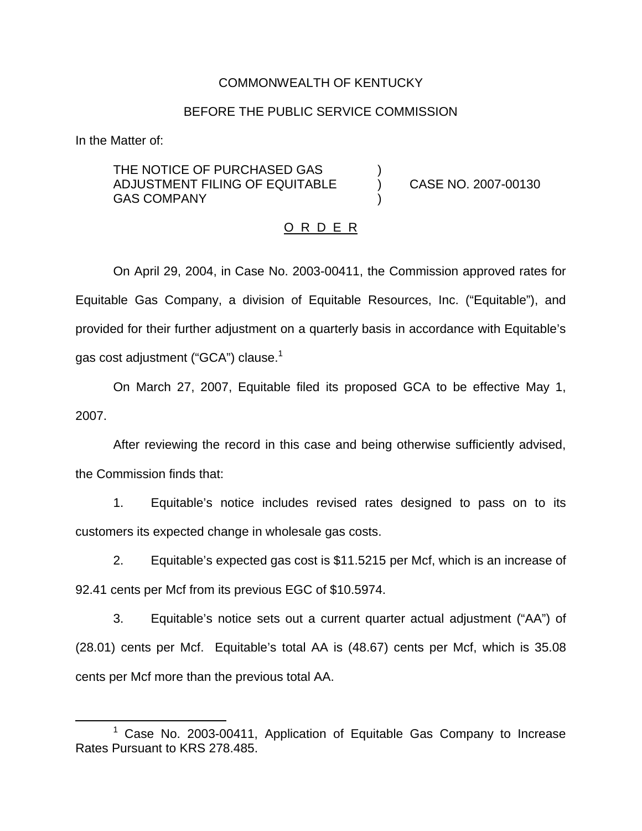## COMMONWEALTH OF KENTUCKY

## BEFORE THE PUBLIC SERVICE COMMISSION

In the Matter of:

THE NOTICE OF PURCHASED GAS ADJUSTMENT FILING OF EQUITABLE ) CASE NO. 2007-00130 **GAS COMPANY** 

#### O R D E R

On April 29, 2004, in Case No. 2003-00411, the Commission approved rates for Equitable Gas Company, a division of Equitable Resources, Inc. ("Equitable"), and provided for their further adjustment on a quarterly basis in accordance with Equitable's gas cost adjustment ("GCA") clause.<sup>1</sup>

On March 27, 2007, Equitable filed its proposed GCA to be effective May 1, 2007.

After reviewing the record in this case and being otherwise sufficiently advised, the Commission finds that:

1. Equitable's notice includes revised rates designed to pass on to its customers its expected change in wholesale gas costs.

2. Equitable's expected gas cost is \$11.5215 per Mcf, which is an increase of 92.41 cents per Mcf from its previous EGC of \$10.5974.

3. Equitable's notice sets out a current quarter actual adjustment ("AA") of (28.01) cents per Mcf. Equitable's total AA is (48.67) cents per Mcf, which is 35.08 cents per Mcf more than the previous total AA.

<sup>1</sup> Case No. 2003-00411, Application of Equitable Gas Company to Increase Rates Pursuant to KRS 278.485.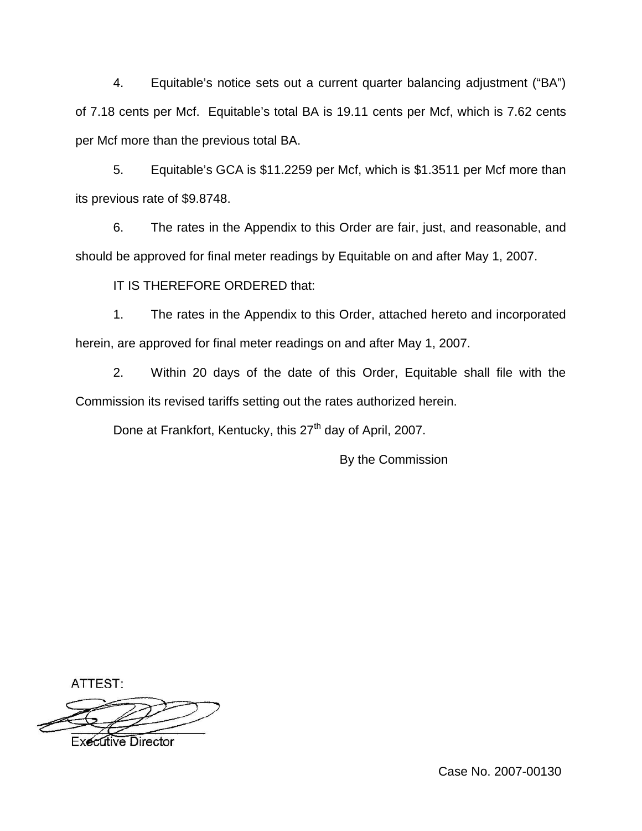4. Equitable's notice sets out a current quarter balancing adjustment ("BA") of 7.18 cents per Mcf. Equitable's total BA is 19.11 cents per Mcf, which is 7.62 cents per Mcf more than the previous total BA.

5. Equitable's GCA is \$11.2259 per Mcf, which is \$1.3511 per Mcf more than its previous rate of \$9.8748.

6. The rates in the Appendix to this Order are fair, just, and reasonable, and should be approved for final meter readings by Equitable on and after May 1, 2007.

IT IS THEREFORE ORDERED that:

1. The rates in the Appendix to this Order, attached hereto and incorporated herein, are approved for final meter readings on and after May 1, 2007.

2. Within 20 days of the date of this Order, Equitable shall file with the Commission its revised tariffs setting out the rates authorized herein.

Done at Frankfort, Kentucky, this 27<sup>th</sup> day of April, 2007.

By the Commission

ATTEST:



Executive Director

Case No. 2007-00130